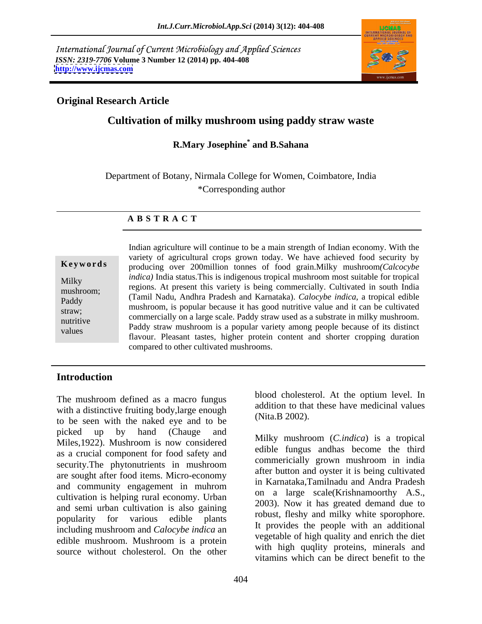International Journal of Current Microbiology and Applied Sciences *ISSN: 2319-7706* **Volume 3 Number 12 (2014) pp. 404-408 <http://www.ijcmas.com>**



# **Original Research Article**

# **Cultivation of milky mushroom using paddy straw waste**

### **R.Mary Josephine\* and B.Sahana**

Department of Botany, Nirmala College for Women, Coimbatore, India \*Corresponding author

### **A B S T R A C T**

hand, the paddy straw mushroom is a popular variety among people because of its distinct values **Ke ywo rds** producing over 200million tonnes of food grain.Milky mushroom*(Calcocybe*  Milky *indica*) India status. This is indigenous tropical mushroom most suitable for tropical  $r_{\text{mushroom}}$ ; regions. At present this variety is being commercially. Cultivated in south India Paddy (Tamil Nadu, Andhra Pradesh and Karnataka). *Calocybe indica*, a tropical edible mushroom, is popular because it has good nutritive value and it can be cultivated straw; equally on a large scale. Paddy straw used as a substrate in milky mushroom. Indian agriculture will continue to be a main strength of Indian economy. With the variety of agricultural crops grown today. We have achieved food security by flavour. Pleasant tastes, higher protein content and shorter cropping duration compared to other cultivated mushrooms.

## **Introduction**

The mushroom defined as a macro fungus with a distinctive fruiting body,large enough to be seen with the naked eye and to be picked up by hand (Chauge and  $\mathbf{M}$  and  $\mathbf{M}$  and  $\mathbf{M}$  and  $\mathbf{M}$  and  $\mathbf{M}$  and  $\mathbf{M}$  and  $\mathbf{M}$  and  $\mathbf{M}$  and  $\mathbf{M}$  and  $\mathbf{M}$  and  $\mathbf{M}$  and  $\mathbf{M}$  and  $\mathbf{M}$  and  $\mathbf{M}$  and  $\mathbf{M}$  a Miles,1922). Mushroom is now considered as a crucial component for food safety and security. The phytonutrients in mushroom commencially grown mushroom in multi are sought after food items. Micro-economy and community engagement in muhrom cultivation is helping rural economy. Urban and semi urban cultivation is also gaining popularity for various edible plants to the countries and thinky while spotophole. including mushroom and *Calocybe indica* an edible mushroom. Mushroom is a protein source without cholesterol. On the other

blood cholesterol. At the optium level. In addition to that these have medicinal values (Nita.B 2002).

Milky mushroom (*C.indica*) is a tropical edible fungus andhas become the third commericially grown mushroom in india after button and oyster it is being cultivated in Karnataka,Tamilnadu and Andra Pradesh on a large scale(Krishnamoorthy A.S., 2003). Now it has greated demand due to robust, fleshy and milky white sporophore. It provides the people with an additional vegetable of high quality and enrich the diet with high quqlity proteins, minerals and vitamins which can be direct benefit to the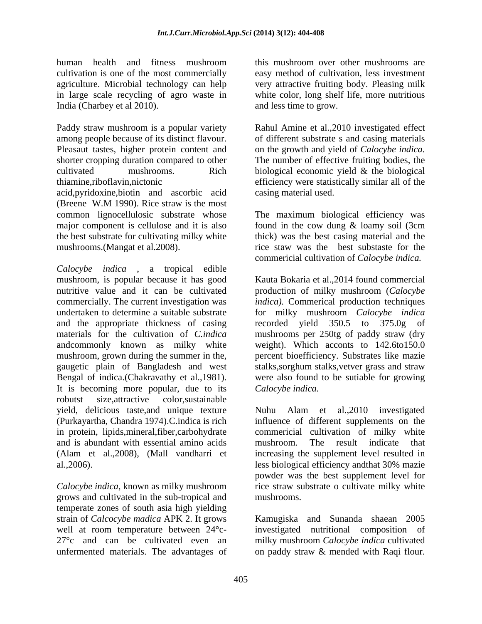human health and fitness mushroom this mushroom over other mushrooms are cultivation is one of the most commercially easy method of cultivation, less investment agriculture. Microbial technology can help very attractive fruiting body. Pleasing milk in large scale recycling of agro waste in white color, long shelf life, more nutritious India (Charbey et al 2010).

Paddy straw mushroom is a popular variety Rahul Amine et al.,2010 investigated effect among people because of its distinct flavour. of different substrate s and casing materials Pleasaut tastes, higher protein content and on the growth and yield of *Calocybe indica.* shorter cropping duration compared to other The number of effective fruiting bodies, the cultivated mushrooms. Rich biological economic yield & the biological thiamine,riboflavin,nictonic efficiency were statistically similar all of the acid,pyridoxine,biotin and ascorbic acid

(Breene W.M 1990). Rice straw is the most common lignocellulosic substrate whose The maximum biological efficiency was major component is cellulose and it is also found in the cow dung & loamy soil (3cm the best substrate for cultivating milky white thick) was the best casing material and the mushrooms.(Mangat et al.2008). rice staw was the best substaste for the

*Calocybe indica* , a tropical edible mushroom, is popular because it has good Kauta Bokaria et al.,2014 found commercial nutritive value and it can be cultivated production of milky mushroom (*Calocybe*  commercially. The current investigation was *indica).* Commerical production techniques undertaken to determine a suitable substrate for milky mushroom *Calocybe indica* and the appropriate thickness of casing recorded yield 350.5 to 375.0g of materials for the cultivation of *C.indica*  mushrooms per 250tg of paddy straw (dry andcommonly known as milky white weight). Which acconts to 142.6to150.0 mushroom, grown during the summer in the, percent bioefficiency. Substrates like mazie gaugetic plain of Bangladesh and west Bengal of indica.(Chakravathy et al.,1981). were also found to be sutiable for growing It is becoming more popular, due to its robutst size,attractive color,sustainable yield, delicious taste,and unique texture Nuhu Alam et al.,2010 investigated (Purkayartha, Chandra 1974).C.indica is rich influence of different supplements on the in protein, lipids,mineral,fiber,carbohydrate and is abundant with essential amino acids (Alam et al.,2008), (Mall vandharri et increasing the supplement level resulted in al., 2006). less biological efficiency and that 30% mazie

grows and cultivated in the sub-tropical and temperate zones of south asia high yielding strain of *Calcocybe madica* APK 2. It grows well at room temperature between 24°c- investigated nutritional composition of 27°c and can be cultivated even an milky mushroom *Calocybe indica* cultivated

this mushroom over other mushrooms are and less time to grow.

casing material used.

commericial cultivation of *Calocybe indica.*

recorded yield  $350.5$  to  $375.0g$ stalks,sorghum stalks,vetver grass and straw *Calocybe indica.* 

*Calocybe indica*, known as milky mushroom rice straw substrate o cultivate milky white commericial cultivation of milky white mushroom. The result indicate that less biological efficiency andthat 30% mazie powder was the best supplement level for mushrooms.

unfermented materials. The advantages of on paddy straw & mended with Raqi flour.Kamugiska and Sunanda shaean 2005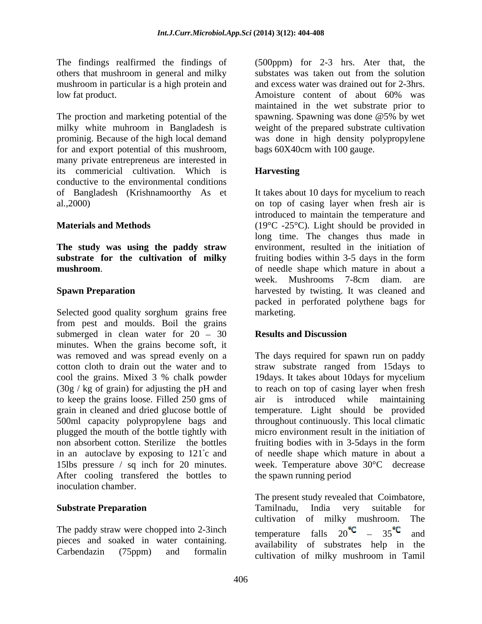others that mushroom in general and milky mushroom in particular is a high protein and low fat product. Amoisture content of about 60% was

for and export potential of this mushroom, many private entrepreneus are interested in its commericial cultivation. Which is **Harvesting** conductive to the environmental conditions

**The study was using the paddy straw substrate for the cultivation of milky mushroom**.

Selected good quality sorghum grains free marketing. from pest and moulds. Boil the grains submerged in clean water for  $20 - 30$ minutes. When the grains become soft, it (30g / kg of grain) for adjusting the pH and to keep the grains loose. Filled 250 gms of 500ml capacity polypropylene bags and plugged the mouth of the bottle tightly with non absorbent cotton. Sterilize the bottles fruiting bodies with in 3-5 days in the form 15lbs pressure / sq inch for 20 minutes. After cooling transferred the bottles to the spawn running period inoculation chamber.

The paddy straw were chopped into 2-3inch<br>temperature falls  $20^{\circ}$  c  $-35^{\circ}$  and pieces and soaked in water containing.

The findings realfirmed the findings of (500ppm) for 2-3 hrs. Ater that, the The proction and marketing potential of the spawning. Spawning was done @5% by wet milky white muhroom in Bangladesh is weight of the prepared substrate cultivation prominig. Because of the high local demand was done in high density polypropylene substates was taken out from the solution and excess water was drained out for 2-3hrs. Amoisture content of about 60% was maintained in the wet substrate prior to bags 60X40cm with 100 gauge.

# **Harvesting**

of Bangladesh (Krishnamoorthy As et It takes about 10 days for mycelium to reach al.,2000) on top of casing layer when fresh air is **Materials and Methods** (19°C -25°C). Light should be provided in **Spawn Preparation harvested by twisting.** It was cleaned and introduced to maintain the temperature and long time. The changes thus made in environment, resulted in the initiation of fruiting bodies within 3-5 days in the form of needle shape which mature in about a week. Mushrooms 7-8cm diam. are packed in perforated polythene bags for marketing.

# **Results and Discussion**

was removed and was spread evenly on a The days required for spawn run on paddy cotton cloth to drain out the water and to straw substrate ranged from 15days to cool the grains. Mixed 3 % chalk powder grain in cleaned and dried glucose bottle of temperature. Light should be provided in an autoclave by exposing to 121<sup>°</sup>c and of needle shape which mature in about a 19days. It takes about 10days for mycelium to reach on top of casing layer when fresh introduced while maintaining throughout continuously. This local climatic micro environment result in the initiation of fruiting bodies with in 3-5days in the form week. Temperature above 30°C decrease the spawn running period

**Substrate Preparation** *CON* **<b>CON CON CON CON CON CON CON CON CON CON CON CON CON CON CON CON CON CON CON CON CON CON CON CON CON CON CON CON CON CON CON CON** Carbendazin (75ppm) and formalin cultivation of milky mushroom in TamilThe present study revealed that Coimbatore, Tamilnadu, India very suitable for cultivation of milky mushroom. The temperature falls  $20 - 35$  and availability of substrates help in the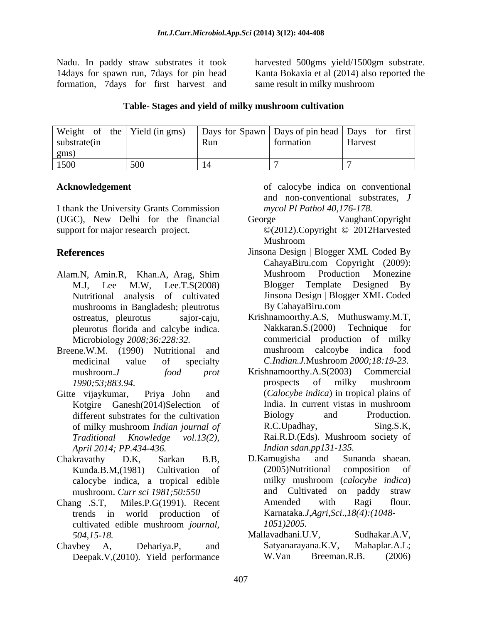14days for spawn run, 7days for pin head formation, 7days for first harvest and

Nadu. In paddy straw substrates it took harvested 500gms yield/1500gm substrate. Kanta Bokaxia et al (2014) also reported the same result in milky mushroom

### **Table- Stages and yield of milky mushroom cultivation**

| Weigh        | Yield (in gms)       | Days for Spawn   Days of pin head |           | <i>Days</i><br>for first |
|--------------|----------------------|-----------------------------------|-----------|--------------------------|
| substrate(1n |                      | <b>Run</b>                        | tormation | Harvest                  |
| gms          |                      |                                   |           |                          |
| 1500<br>170C | $\sim$ $\sim$ $\sim$ |                                   |           |                          |

I thank the University Grants Commission (UGC), New Delhi for the financial support for major research project.  $\mathbb{O}(2012)$ . Copyright  $\mathbb{O}(2012)$  and  $\mathbb{O}(2012)$ 

- Nutritional analysis of cultivated Jinsona-Design Blo<br>mushrooms in Bangladesh: pleutrotus By-CahayaBiru.com mushrooms in Bangladesh; pleutrotus
- medicinal value of specialty *C.Indian.J.*Mushroom *2000;18:19-23.*
- different substrates for the cultivation Biology and *April 2014; PP.434-436.*
- Chakravathy D.K, Sarkan B.B, calocybe indica, a tropical edible
- Chang .S.T, Miles.P.G(1991). Recent trends in world production of cultivated edible mushroom *journal,*
- Chavbey A, Dehariya.P, and Satyanarayana.K.V, Mahaplar.A.L;

Acknowledgement **a of calocybe indica on conventional** and non-conventional substrates, *J mycol Pl Pathol 40,176-178.* 

- George **VaughanCopyright** ©(2012).Copyright © 2012Harvested Mushroom
- **References** Jinsona Design | Blogger XML Coded By Alam.N, Amin.R, Khan.A, Arag, Shim M.J, Lee M.W, Lee.T.S(2008) CahayaBiru.com Copyright (2009): Mushroom Production Monezine Blogger Template Designed By Jinsona Design | Blogger XML Coded By CahayaBiru.com
- ostreatus, pleurotus sajor-caju, Krishnamoorthy.A.S, Muthuswamy.M.T, pleurotus florida and calcybe indica. Nakkaran.S.(2000) Technique for Microbiology *2008;36:228:32.*  commericial production of milky Breene.W.M. (1990) Nutritional and mushroom calcoybe indica food Nakkaran.S.(2000) Technique mushroom calcoybe indica food
- mushroom.*J food prot* Krishnamoorthy.A.S(2003) Commercial *1990;53;883.94.*  Gitte vijaykumar, Priya John and (*Calocybe indica*) in tropical plains of Kotgire Ganesh(2014)Selection of India. In current vistas in mushroom different substrates for the cultivation Biology and Production. of milky mushroom *Indian journal of Traditional Knowledge vol.13(2)*, prospects of milky mushroom India. In current vistas in mushroom Biology and Production. R.C.Upadhay, Sing.S.K, Rai.R.D.(Eds). Mushroom society of *Indian sdan*.*pp131-135.*
	- Kunda.B.M,(1981) Cultivation of mushroom. *Curr sci 1981;50:550*  D.Kamugisha and Sunanda shaean. (2005)Nutritional composition of milky mushroom (*calocybe indica*) and Cultivated on paddy straw Amended with Ragi flour. Karnataka.*J,Agri,Sci*.,*18(4):(1048- 1051)2005.*
	- *504,15-18.*  Mallavadhani.U.V, Sudhakar.A.V, Deepak.V,(2010). Yield performance W.Van Breeman.R.B. (2006) Satyanarayana.K.V, Mahaplar.A.L; W.Van Breeman.R.B. (2006)